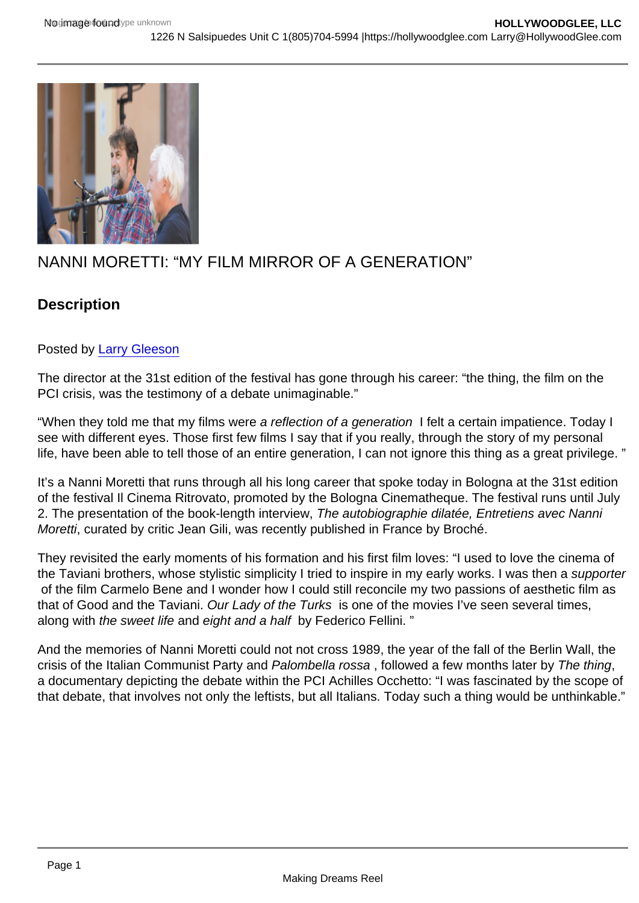# NANNI MORETTI: "MY FILM MIRROR OF A GENERATION"

## **Description**

### Posted by [Larry Gleeson](http://sbccfilmreviews.org/?s=Larry+Gleeson)

The director at the 31st edition of the festival has gone through his career: "the thing, the film on the PCI crisis, was the testimony of a debate unimaginable."

"When they told me that my films were a reflection of a generation I felt a certain impatience. Today I see with different eyes. Those first few films I say that if you really, through the story of my personal life, have been able to tell those of an entire generation, I can not ignore this thing as a great privilege. "

It's a Nanni Moretti that runs through all his long career that spoke today in Bologna at the 31st edition of the festival Il Cinema Ritrovato, promoted by the Bologna Cinematheque. The festival runs until July 2. The presentation of the book-length interview, The autobiographie dilatée, Entretiens avec Nanni Moretti, curated by critic Jean Gili, was recently published in France by Broché.

They revisited the early moments of his formation and his first film loves: "I used to love the cinema of the Taviani brothers, whose stylistic simplicity I tried to inspire in my early works. I was then a supporter of the film Carmelo Bene and I wonder how I could still reconcile my two passions of aesthetic film as that of Good and the Taviani. Our Lady of the Turks is one of the movies I've seen several times, along with the sweet life and eight and a half by Federico Fellini. "

And the memories of Nanni Moretti could not not cross 1989, the year of the fall of the Berlin Wall, the crisis of the Italian Communist Party and Palombella rossa , followed a few months later by The thing, a documentary depicting the debate within the PCI Achilles Occhetto: "I was fascinated by the scope of that debate, that involves not only the leftists, but all Italians. Today such a thing would be unthinkable."